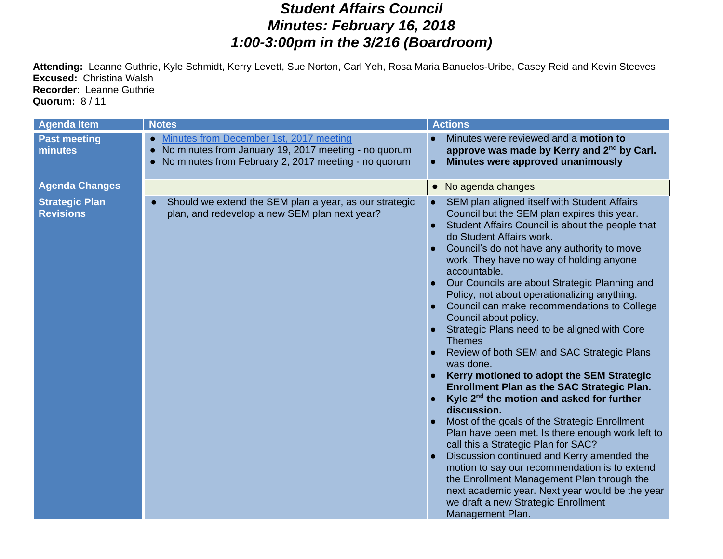## *Student Affairs Council Minutes: February 16, 2018 1:00-3:00pm in the 3/216 (Boardroom)*

**Attending:** Leanne Guthrie, Kyle Schmidt, Kerry Levett, Sue Norton, Carl Yeh, Rosa Maria Banuelos-Uribe, Casey Reid and Kevin Steeves **Excused:** Christina Walsh **Recorder**: Leanne Guthrie **Quorum:** 8 / 11

| <b>Agenda Item</b>                        | <b>Notes</b>                                                                                                                                                         | <b>Actions</b>                                                                                                                                                                                                                                                                                                                                                                                                                                                                                                                                                                                                                                                                                                                                                                                                                                                                                                                                                                                                                                                                                                                                                        |
|-------------------------------------------|----------------------------------------------------------------------------------------------------------------------------------------------------------------------|-----------------------------------------------------------------------------------------------------------------------------------------------------------------------------------------------------------------------------------------------------------------------------------------------------------------------------------------------------------------------------------------------------------------------------------------------------------------------------------------------------------------------------------------------------------------------------------------------------------------------------------------------------------------------------------------------------------------------------------------------------------------------------------------------------------------------------------------------------------------------------------------------------------------------------------------------------------------------------------------------------------------------------------------------------------------------------------------------------------------------------------------------------------------------|
| <b>Past meeting</b><br>minutes            | Minutes from December 1st, 2017 meeting<br>$\bullet$<br>No minutes from January 19, 2017 meeting - no quorum<br>No minutes from February 2, 2017 meeting - no quorum | Minutes were reviewed and a motion to<br>approve was made by Kerry and 2 <sup>nd</sup> by Carl.<br>Minutes were approved unanimously                                                                                                                                                                                                                                                                                                                                                                                                                                                                                                                                                                                                                                                                                                                                                                                                                                                                                                                                                                                                                                  |
| <b>Agenda Changes</b>                     |                                                                                                                                                                      | No agenda changes                                                                                                                                                                                                                                                                                                                                                                                                                                                                                                                                                                                                                                                                                                                                                                                                                                                                                                                                                                                                                                                                                                                                                     |
| <b>Strategic Plan</b><br><b>Revisions</b> | Should we extend the SEM plan a year, as our strategic<br>plan, and redevelop a new SEM plan next year?                                                              | SEM plan aligned itself with Student Affairs<br>Council but the SEM plan expires this year.<br>Student Affairs Council is about the people that<br>do Student Affairs work.<br>Council's do not have any authority to move<br>work. They have no way of holding anyone<br>accountable.<br>Our Councils are about Strategic Planning and<br>Policy, not about operationalizing anything.<br>Council can make recommendations to College<br>Council about policy.<br>Strategic Plans need to be aligned with Core<br><b>Themes</b><br>Review of both SEM and SAC Strategic Plans<br>was done.<br>Kerry motioned to adopt the SEM Strategic<br><b>Enrollment Plan as the SAC Strategic Plan.</b><br>Kyle $2^{nd}$ the motion and asked for further<br>discussion.<br>Most of the goals of the Strategic Enrollment<br>Plan have been met. Is there enough work left to<br>call this a Strategic Plan for SAC?<br>Discussion continued and Kerry amended the<br>motion to say our recommendation is to extend<br>the Enrollment Management Plan through the<br>next academic year. Next year would be the year<br>we draft a new Strategic Enrollment<br>Management Plan. |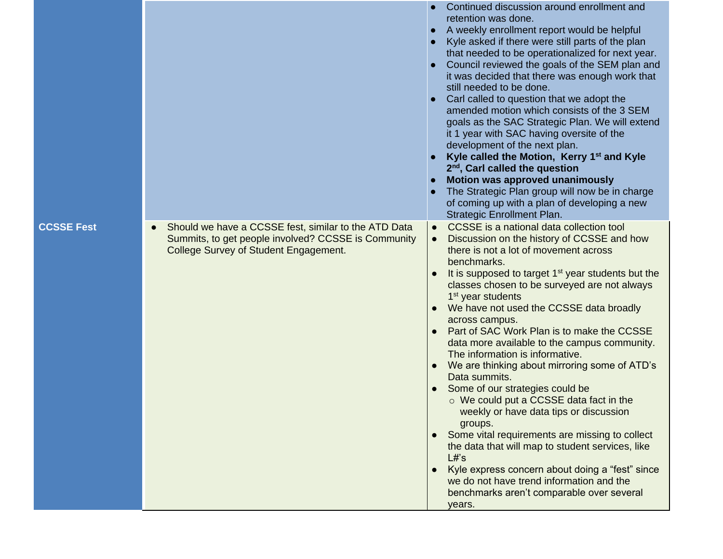|                   |                                                                                                                                                                   | Continued discussion around enrollment and<br>retention was done.<br>A weekly enrollment report would be helpful<br>Kyle asked if there were still parts of the plan<br>that needed to be operationalized for next year.<br>Council reviewed the goals of the SEM plan and<br>it was decided that there was enough work that<br>still needed to be done.<br>Carl called to question that we adopt the<br>amended motion which consists of the 3 SEM<br>goals as the SAC Strategic Plan. We will extend<br>it 1 year with SAC having oversite of the<br>development of the next plan.<br>Kyle called the Motion, Kerry 1 <sup>st</sup> and Kyle<br>$2nd$ , Carl called the question<br>Motion was approved unanimously<br>The Strategic Plan group will now be in charge<br>of coming up with a plan of developing a new<br>Strategic Enrollment Plan.                                                                                                                                |
|-------------------|-------------------------------------------------------------------------------------------------------------------------------------------------------------------|--------------------------------------------------------------------------------------------------------------------------------------------------------------------------------------------------------------------------------------------------------------------------------------------------------------------------------------------------------------------------------------------------------------------------------------------------------------------------------------------------------------------------------------------------------------------------------------------------------------------------------------------------------------------------------------------------------------------------------------------------------------------------------------------------------------------------------------------------------------------------------------------------------------------------------------------------------------------------------------|
| <b>CCSSE Fest</b> | Should we have a CCSSE fest, similar to the ATD Data<br>$\bullet$<br>Summits, to get people involved? CCSSE is Community<br>College Survey of Student Engagement. | CCSSE is a national data collection tool<br>$\bullet$<br>Discussion on the history of CCSSE and how<br>there is not a lot of movement across<br>benchmarks.<br>It is supposed to target 1 <sup>st</sup> year students but the<br>classes chosen to be surveyed are not always<br>1 <sup>st</sup> year students<br>We have not used the CCSSE data broadly<br>across campus.<br>Part of SAC Work Plan is to make the CCSSE<br>data more available to the campus community.<br>The information is informative.<br>We are thinking about mirroring some of ATD's<br>Data summits.<br>Some of our strategies could be<br>o We could put a CCSSE data fact in the<br>weekly or have data tips or discussion<br>groups.<br>Some vital requirements are missing to collect<br>the data that will map to student services, like<br>L#s<br>Kyle express concern about doing a "fest" since<br>we do not have trend information and the<br>benchmarks aren't comparable over several<br>years. |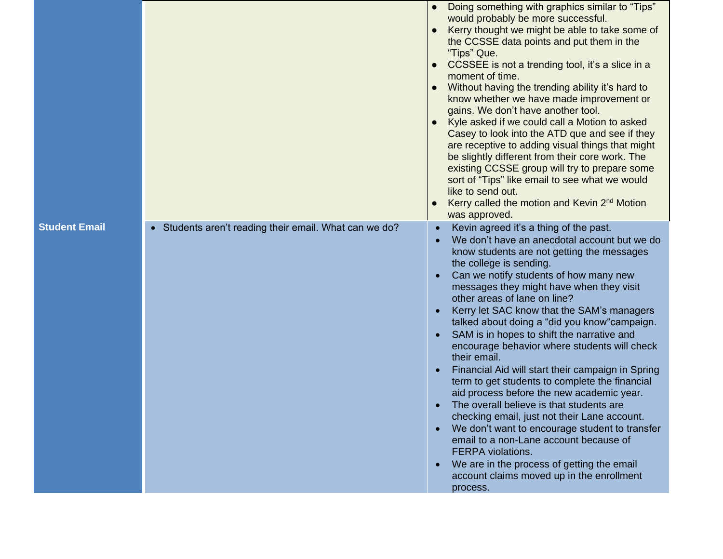|                      |                                                        | Doing something with graphics similar to "Tips"<br>would probably be more successful.<br>Kerry thought we might be able to take some of<br>the CCSSE data points and put them in the<br>"Tips" Que.<br>CCSSEE is not a trending tool, it's a slice in a<br>$\bullet$<br>moment of time.<br>Without having the trending ability it's hard to<br>$\bullet$<br>know whether we have made improvement or<br>gains. We don't have another tool.<br>Kyle asked if we could call a Motion to asked<br>Casey to look into the ATD que and see if they<br>are receptive to adding visual things that might<br>be slightly different from their core work. The<br>existing CCSSE group will try to prepare some<br>sort of "Tips" like email to see what we would<br>like to send out.<br>Kerry called the motion and Kevin 2 <sup>nd</sup> Motion<br>was approved.                                                                                                                         |
|----------------------|--------------------------------------------------------|-----------------------------------------------------------------------------------------------------------------------------------------------------------------------------------------------------------------------------------------------------------------------------------------------------------------------------------------------------------------------------------------------------------------------------------------------------------------------------------------------------------------------------------------------------------------------------------------------------------------------------------------------------------------------------------------------------------------------------------------------------------------------------------------------------------------------------------------------------------------------------------------------------------------------------------------------------------------------------------|
| <b>Student Email</b> | • Students aren't reading their email. What can we do? | Kevin agreed it's a thing of the past.<br>We don't have an anecdotal account but we do<br>know students are not getting the messages<br>the college is sending.<br>Can we notify students of how many new<br>messages they might have when they visit<br>other areas of lane on line?<br>Kerry let SAC know that the SAM's managers<br>talked about doing a "did you know" campaign.<br>SAM is in hopes to shift the narrative and<br>encourage behavior where students will check<br>their email.<br>Financial Aid will start their campaign in Spring<br>term to get students to complete the financial<br>aid process before the new academic year.<br>The overall believe is that students are<br>checking email, just not their Lane account.<br>We don't want to encourage student to transfer<br>email to a non-Lane account because of<br><b>FERPA</b> violations.<br>We are in the process of getting the email<br>account claims moved up in the enrollment<br>process. |